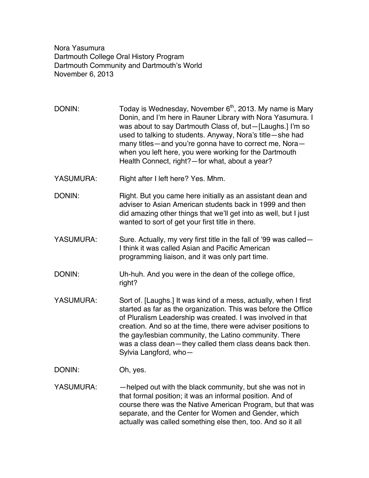Nora Yasumura Dartmouth College Oral History Program Dartmouth Community and Dartmouth's World November 6, 2013

- DONIN: Today is Wednesday, November  $6<sup>th</sup>$ , 2013. My name is Mary Donin, and I'm here in Rauner Library with Nora Yasumura. I was about to say Dartmouth Class of, but—[Laughs.] I'm so used to talking to students. Anyway, Nora's title—she had many titles—and you're gonna have to correct me, Nora when you left here, you were working for the Dartmouth Health Connect, right?—for what, about a year?
- YASUMURA: Right after I left here? Yes. Mhm.
- DONIN: Right. But you came here initially as an assistant dean and adviser to Asian American students back in 1999 and then did amazing other things that we'll get into as well, but I just wanted to sort of get your first title in there.
- YASUMURA: Sure. Actually, my very first title in the fall of '99 was called— I think it was called Asian and Pacific American programming liaison, and it was only part time.
- DONIN: Uh-huh. And you were in the dean of the college office, right?
- YASUMURA: Sort of. [Laughs.] It was kind of a mess, actually, when I first started as far as the organization. This was before the Office of Pluralism Leadership was created. I was involved in that creation. And so at the time, there were adviser positions to the gay/lesbian community, the Latino community. There was a class dean—they called them class deans back then. Sylvia Langford, who—
- DONIN: Oh, yes.
- YASUMURA: - helped out with the black community, but she was not in that formal position; it was an informal position. And of course there was the Native American Program, but that was separate, and the Center for Women and Gender, which actually was called something else then, too. And so it all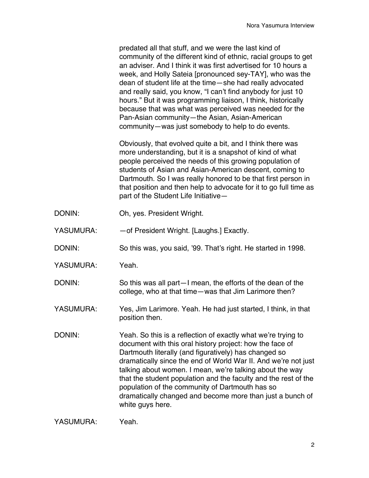predated all that stuff, and we were the last kind of community of the different kind of ethnic, racial groups to get an adviser. And I think it was first advertised for 10 hours a week, and Holly Sateia [pronounced sey-TAY], who was the dean of student life at the time—she had really advocated and really said, you know, "I can't find anybody for just 10 hours." But it was programming liaison, I think, historically because that was what was perceived was needed for the Pan-Asian community—the Asian, Asian-American community—was just somebody to help to do events.

Obviously, that evolved quite a bit, and I think there was more understanding, but it is a snapshot of kind of what people perceived the needs of this growing population of students of Asian and Asian-American descent, coming to Dartmouth. So I was really honored to be that first person in that position and then help to advocate for it to go full time as part of the Student Life Initiative—

DONIN: Oh, yes. President Wright.

YASUMURA: — — of President Wright. [Laughs.] Exactly.

DONIN: So this was, you said, '99. That's right. He started in 1998.

YASUMURA: Yeah.

DONIN: So this was all part—I mean, the efforts of the dean of the college, who at that time—was that Jim Larimore then?

YASUMURA: Yes, Jim Larimore. Yeah. He had just started, I think, in that position then.

DONIN: Yeah. So this is a reflection of exactly what we're trying to document with this oral history project: how the face of Dartmouth literally (and figuratively) has changed so dramatically since the end of World War II. And we're not just talking about women. I mean, we're talking about the way that the student population and the faculty and the rest of the population of the community of Dartmouth has so dramatically changed and become more than just a bunch of white guys here.

YASUMURA: Yeah.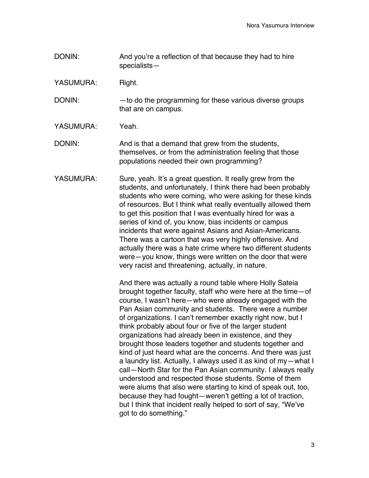- DONIN: And you're a reflection of that because they had to hire specialists—
- YASUMURA: Right.

DONIN: — — to do the programming for these various diverse groups that are on campus.

YASUMURA: Yeah

DONIN: And is that a demand that grew from the students, themselves, or from the administration feeling that those populations needed their own programming?

YASUMURA: Sure, yeah. It's a great question. It really grew from the students, and unfortunately, I think there had been probably students who were coming, who were asking for these kinds of resources. But I think what really eventually allowed them to get this position that I was eventually hired for was a series of kind of, you know, bias incidents or campus incidents that were against Asians and Asian-Americans. There was a cartoon that was very highly offensive. And actually there was a hate crime where two different students were—you know, things were written on the door that were very racist and threatening, actually, in nature.

> And there was actually a round table where Holly Sateia brought together faculty, staff who were here at the time—of course, I wasn't here—who were already engaged with the Pan Asian community and students. There were a number of organizations. I can't remember exactly right now, but I think probably about four or five of the larger student organizations had already been in existence, and they brought those leaders together and students together and kind of just heard what are the concerns. And there was just a laundry list. Actually, I always used it as kind of my—what I call—North Star for the Pan Asian community. I always really understood and respected those students. Some of them were alums that also were starting to kind of speak out, too, because they had fought—weren't getting a lot of traction, but I think that incident really helped to sort of say, "We've got to do something."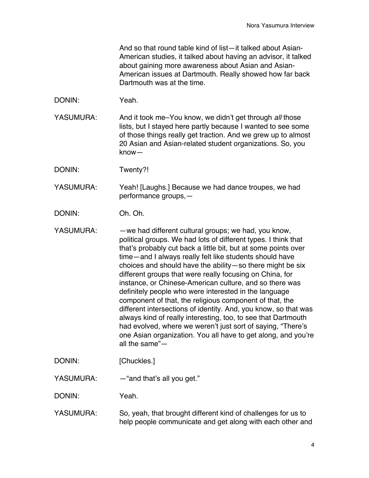And so that round table kind of list—it talked about Asian-American studies, it talked about having an advisor, it talked about gaining more awareness about Asian and Asian-American issues at Dartmouth. Really showed how far back Dartmouth was at the time.

DONIN: Yeah.

YASUMURA: And it took me–You know, we didn't get through all those lists, but I stayed here partly because I wanted to see some of those things really get traction. And we grew up to almost 20 Asian and Asian-related student organizations. So, you know—

DONIN: Twenty?!

YASUMURA: Yeah! [Laughs.] Because we had dance troupes, we had performance groups,—

DONIN: Oh. Oh.

- YASUMURA: —we had different cultural groups; we had, you know, political groups. We had lots of different types. I think that that's probably cut back a little bit, but at some points over time—and I always really felt like students should have choices and should have the ability—so there might be six different groups that were really focusing on China, for instance, or Chinese-American culture, and so there was definitely people who were interested in the language component of that, the religious component of that, the different intersections of identity. And, you know, so that was always kind of really interesting, too, to see that Dartmouth had evolved, where we weren't just sort of saying, "There's one Asian organization. You all have to get along, and you're all the same"—
- DONIN: [Chuckles.]

YASUMURA: — "and that's all you get."

DONIN: Yeah.

YASUMURA: So, yeah, that brought different kind of challenges for us to help people communicate and get along with each other and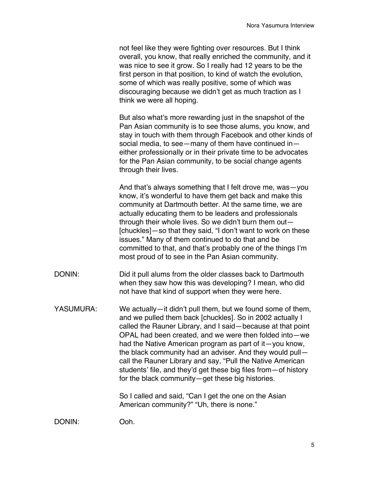not feel like they were fighting over resources. But I think overall, you know, that really enriched the community, and it was nice to see it grow. So I really had 12 years to be the first person in that position, to kind of watch the evolution, some of which was really positive, some of which was discouraging because we didn't get as much traction as I think we were all hoping.

But also what's more rewarding just in the snapshot of the Pan Asian community is to see those alums, you know, and stay in touch with them through Facebook and other kinds of social media, to see—many of them have continued in either professionally or in their private time to be advocates for the Pan Asian community, to be social change agents through their lives.

And that's always something that I felt drove me, was—you know, it's wonderful to have them get back and make this community at Dartmouth better. At the same time, we are actually educating them to be leaders and professionals through their whole lives. So we didn't burn them out— [chuckles]—so that they said, "I don't want to work on these issues." Many of them continued to do that and be committed to that, and that's probably one of the things I'm most proud of to see in the Pan Asian community.

- DONIN: Did it pull alums from the older classes back to Dartmouth when they saw how this was developing? I mean, who did not have that kind of support when they were here.
- YASUMURA: We actually—it didn't pull them, but we found some of them, and we pulled them back [chuckles]. So in 2002 actually I called the Rauner Library, and I said—because at that point OPAL had been created, and we were then folded into—we had the Native American program as part of it—you know, the black community had an adviser. And they would pull call the Rauner Library and say, "Pull the Native American students' file, and they'd get these big files from—of history for the black community—get these big histories.

So I called and said, "Can I get the one on the Asian American community?" "Uh, there is none."

DONIN: Ooh.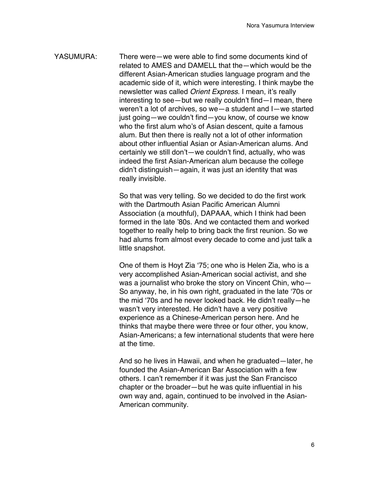YASUMURA: There were—we were able to find some documents kind of related to AMES and DAMELL that the—which would be the different Asian-American studies language program and the academic side of it, which were interesting. I think maybe the newsletter was called *Orient Express*. I mean, it's really interesting to see—but we really couldn't find—I mean, there weren't a lot of archives, so we—a student and I—we started just going—we couldn't find—you know, of course we know who the first alum who's of Asian descent, quite a famous alum. But then there is really not a lot of other information about other influential Asian or Asian-American alums. And certainly we still don't—we couldn't find, actually, who was indeed the first Asian-American alum because the college didn't distinguish—again, it was just an identity that was really invisible.

> So that was very telling. So we decided to do the first work with the Dartmouth Asian Pacific American Alumni Association (a mouthful), DAPAAA, which I think had been formed in the late '80s. And we contacted them and worked together to really help to bring back the first reunion. So we had alums from almost every decade to come and just talk a little snapshot.

> One of them is Hoyt Zia '75; one who is Helen Zia, who is a very accomplished Asian-American social activist, and she was a journalist who broke the story on Vincent Chin, who— So anyway, he, in his own right, graduated in the late '70s or the mid '70s and he never looked back. He didn't really—he wasn't very interested. He didn't have a very positive experience as a Chinese-American person here. And he thinks that maybe there were three or four other, you know, Asian-Americans; a few international students that were here at the time.

> And so he lives in Hawaii, and when he graduated—later, he founded the Asian-American Bar Association with a few others. I can't remember if it was just the San Francisco chapter or the broader—but he was quite influential in his own way and, again, continued to be involved in the Asian-American community.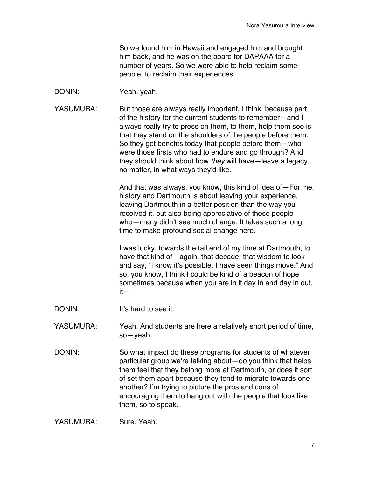So we found him in Hawaii and engaged him and brought him back, and he was on the board for DAPAAA for a number of years. So we were able to help reclaim some people, to reclaim their experiences.

DONIN: Yeah, yeah.

YASUMURA: But those are always really important, I think, because part of the history for the current students to remember—and I always really try to press on them, to them, help them see is that they stand on the shoulders of the people before them. So they get benefits today that people before them—who were those firsts who had to endure and go through? And they should think about how *they* will have—leave a legacy, no matter, in what ways they'd like.

> And that was always, you know, this kind of idea of—For me, history and Dartmouth is about leaving your experience, leaving Dartmouth in a better position than the way you received it, but also being appreciative of those people who—many didn't see much change. It takes such a long time to make profound social change here.

> I was lucky, towards the tail end of my time at Dartmouth, to have that kind of—again, that decade, that wisdom to look and say, "I know it's possible. I have seen things move." And so, you know, I think I could be kind of a beacon of hope sometimes because when you are in it day in and day in out, it—

- DONIN: It's hard to see it.
- YASUMURA: Yeah. And students are here a relatively short period of time, so—yeah.
- DONIN: So what impact do these programs for students of whatever particular group we're talking about—do you think that helps them feel that they belong more at Dartmouth, or does it sort of set them apart because they tend to migrate towards one another? I'm trying to picture the pros and cons of encouraging them to hang out with the people that look like them, so to speak.

YASUMURA: Sure. Yeah.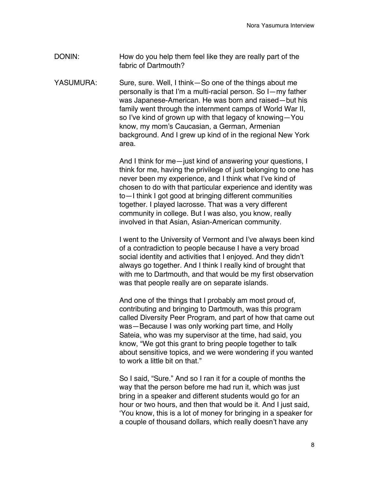- DONIN: How do you help them feel like they are really part of the fabric of Dartmouth?
- YASUMURA: Sure, sure. Well, I think—So one of the things about me personally is that I'm a multi-racial person. So I—my father was Japanese-American. He was born and raised—but his family went through the internment camps of World War II, so I've kind of grown up with that legacy of knowing—You know, my mom's Caucasian, a German, Armenian background. And I grew up kind of in the regional New York area.

And I think for me—just kind of answering your questions, I think for me, having the privilege of just belonging to one has never been my experience, and I think what I've kind of chosen to do with that particular experience and identity was to—I think I got good at bringing different communities together. I played lacrosse. That was a very different community in college. But I was also, you know, really involved in that Asian, Asian-American community.

I went to the University of Vermont and I've always been kind of a contradiction to people because I have a very broad social identity and activities that I enjoyed. And they didn't always go together. And I think I really kind of brought that with me to Dartmouth, and that would be my first observation was that people really are on separate islands.

And one of the things that I probably am most proud of, contributing and bringing to Dartmouth, was this program called Diversity Peer Program, and part of how that came out was—Because I was only working part time, and Holly Sateia, who was my supervisor at the time, had said, you know, "We got this grant to bring people together to talk about sensitive topics, and we were wondering if you wanted to work a little bit on that."

So I said, "Sure." And so I ran it for a couple of months the way that the person before me had run it, which was just bring in a speaker and different students would go for an hour or two hours, and then that would be it. And I just said, 'You know, this is a lot of money for bringing in a speaker for a couple of thousand dollars, which really doesn't have any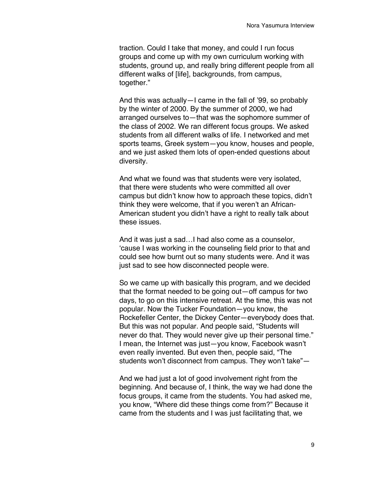traction. Could I take that money, and could I run focus groups and come up with my own curriculum working with students, ground up, and really bring different people from all different walks of [life], backgrounds, from campus, together."

And this was actually—I came in the fall of '99, so probably by the winter of 2000. By the summer of 2000, we had arranged ourselves to—that was the sophomore summer of the class of 2002. We ran different focus groups. We asked students from all different walks of life. I networked and met sports teams, Greek system—you know, houses and people, and we just asked them lots of open-ended questions about diversity.

And what we found was that students were very isolated, that there were students who were committed all over campus but didn't know how to approach these topics, didn't think they were welcome, that if you weren't an African-American student you didn't have a right to really talk about these issues.

And it was just a sad…I had also come as a counselor, 'cause I was working in the counseling field prior to that and could see how burnt out so many students were. And it was just sad to see how disconnected people were.

So we came up with basically this program, and we decided that the format needed to be going out—off campus for two days, to go on this intensive retreat. At the time, this was not popular. Now the Tucker Foundation—you know, the Rockefeller Center, the Dickey Center—everybody does that. But this was not popular. And people said, "Students will never do that. They would never give up their personal time." I mean, the Internet was just—you know, Facebook wasn't even really invented. But even then, people said, "The students won't disconnect from campus. They won't take"—

And we had just a lot of good involvement right from the beginning. And because of, I think, the way we had done the focus groups, it came from the students. You had asked me, you know, "Where did these things come from?" Because it came from the students and I was just facilitating that, we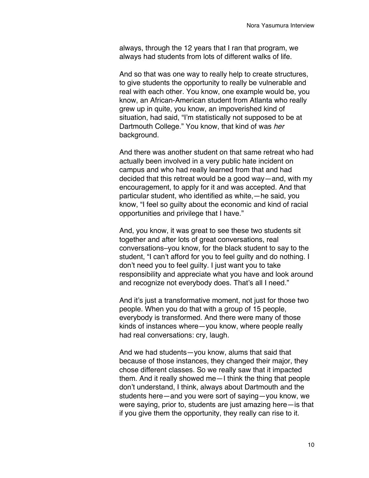always, through the 12 years that I ran that program, we always had students from lots of different walks of life.

And so that was one way to really help to create structures, to give students the opportunity to really be vulnerable and real with each other. You know, one example would be, you know, an African-American student from Atlanta who really grew up in quite, you know, an impoverished kind of situation, had said, "I'm statistically not supposed to be at Dartmouth College." You know, that kind of was *her* background.

And there was another student on that same retreat who had actually been involved in a very public hate incident on campus and who had really learned from that and had decided that this retreat would be a good way—and, with my encouragement, to apply for it and was accepted. And that particular student, who identified as white,—he said, you know, "I feel so guilty about the economic and kind of racial opportunities and privilege that I have."

And, you know, it was great to see these two students sit together and after lots of great conversations, real conversations–you know, for the black student to say to the student, "I can't afford for you to feel guilty and do nothing. I don't need you to feel guilty. I just want you to take responsibility and appreciate what you have and look around and recognize not everybody does. That's all I need."

And it's just a transformative moment, not just for those two people. When you do that with a group of 15 people, everybody is transformed. And there were many of those kinds of instances where—you know, where people really had real conversations: cry, laugh.

And we had students—you know, alums that said that because of those instances, they changed their major, they chose different classes. So we really saw that it impacted them. And it really showed me—I think the thing that people don't understand, I think, always about Dartmouth and the students here—and you were sort of saying—you know, we were saying, prior to, students are just amazing here—is that if you give them the opportunity, they really can rise to it.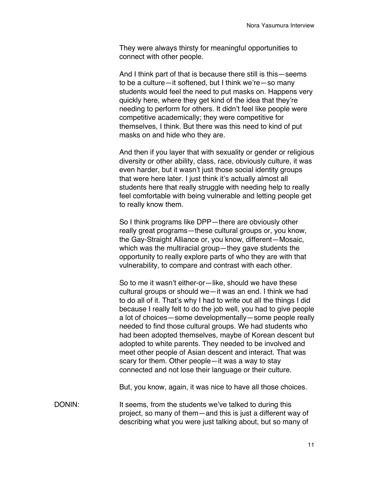They were always thirsty for meaningful opportunities to connect with other people.

And I think part of that is because there still is this—seems to be a culture—it softened, but I think we're—so many students would feel the need to put masks on. Happens very quickly here, where they get kind of the idea that they're needing to perform for others. It didn't feel like people were competitive academically; they were competitive for themselves, I think. But there was this need to kind of put masks on and hide who they are.

And then if you layer that with sexuality or gender or religious diversity or other ability, class, race, obviously culture, it was even harder, but it wasn't just those social identity groups that were here later. I just think it's actually almost all students here that really struggle with needing help to really feel comfortable with being vulnerable and letting people get to really know them.

So I think programs like DPP—there are obviously other really great programs—these cultural groups or, you know, the Gay-Straight Alliance or, you know, different—Mosaic, which was the multiracial group—they gave students the opportunity to really explore parts of who they are with that vulnerability, to compare and contrast with each other.

So to me it wasn't either-or—like, should we have these cultural groups or should we—it was an end. I think we had to do all of it. That's why I had to write out all the things I did because I really felt to do the job well, you had to give people a lot of choices—some developmentally—some people really needed to find those cultural groups. We had students who had been adopted themselves, maybe of Korean descent but adopted to white parents. They needed to be involved and meet other people of Asian descent and interact. That was scary for them. Other people—it was a way to stay connected and not lose their language or their culture.

But, you know, again, it was nice to have all those choices.

DONIN: It seems, from the students we've talked to during this project, so many of them—and this is just a different way of describing what you were just talking about, but so many of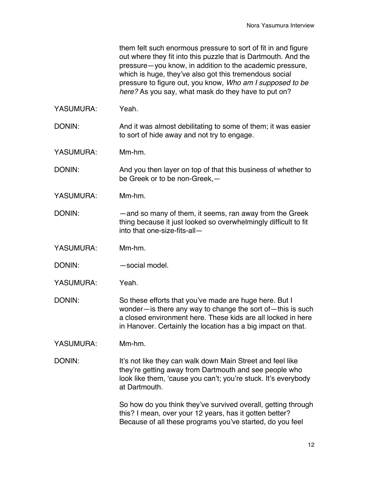them felt such enormous pressure to sort of fit in and figure out where they fit into this puzzle that is Dartmouth. And the pressure—you know, in addition to the academic pressure, which is huge, they've also got this tremendous social pressure to figure out, you know, *Who am I supposed to be here?* As you say, what mask do they have to put on?

YASUMURA: Yeah.

DONIN: And it was almost debilitating to some of them; it was easier to sort of hide away and not try to engage.

YASUMURA: Mm-hm.

DONIN: And you then layer on top of that this business of whether to be Greek or to be non-Greek,—

YASUMURA: Mm-hm.

DONIN: —and so many of them, it seems, ran away from the Greek thing because it just looked so overwhelmingly difficult to fit into that one-size-fits-all—

YASUMURA: Mm-hm.

DONIN: — — social model.

YASUMURA: Yeah.

DONIN: So these efforts that you've made are huge here. But I wonder—is there any way to change the sort of—this is such a closed environment here. These kids are all locked in here in Hanover. Certainly the location has a big impact on that.

YASUMURA: Mm-hm.

DONIN: It's not like they can walk down Main Street and feel like they're getting away from Dartmouth and see people who look like them, 'cause you can't; you're stuck. It's everybody at Dartmouth.

> So how do you think they've survived overall, getting through this? I mean, over your 12 years, has it gotten better? Because of all these programs you've started, do you feel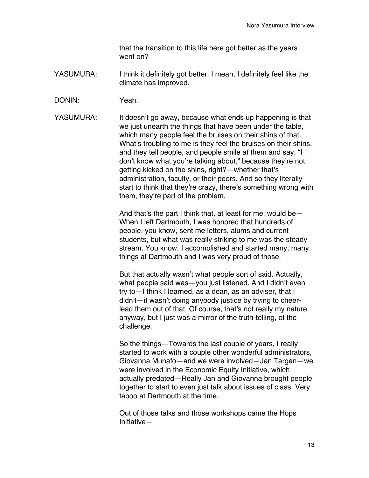that the transition to this life here got better as the years went on?

- YASUMURA: I think it definitely got better. I mean, I definitely feel like the climate has improved.
- DONIN: Yeah.

YASUMURA: It doesn't go away, because what ends up happening is that we just unearth the things that have been under the table, which many people feel the bruises on their shins of that. What's troubling to me is they feel the bruises on their shins, and they tell people, and people smile at them and say, "I don't know what you're talking about," because they're not getting kicked on the shins, right?—whether that's administration, faculty, or their peers. And so they literally start to think that they're crazy, there's something wrong with them, they're part of the problem.

> And that's the part I think that, at least for me, would be— When I left Dartmouth, I was honored that hundreds of people, you know, sent me letters, alums and current students, but what was really striking to me was the steady stream. You know, I accomplished and started many, many things at Dartmouth and I was very proud of those.

> But that actually wasn't what people sort of said. Actually, what people said was—you just listened. And I didn't even try to—I think I learned, as a dean, as an adviser, that I didn't—it wasn't doing anybody justice by trying to cheerlead them out of that. Of course, that's not really my nature anyway, but I just was a mirror of the truth-telling, of the challenge.

So the things—Towards the last couple of years, I really started to work with a couple other wonderful administrators, Giovanna Munafo—and we were involved—Jan Targan—we were involved in the Economic Equity Initiative, which actually predated—Really Jan and Giovanna brought people together to start to even just talk about issues of class. Very taboo at Dartmouth at the time.

Out of those talks and those workshops came the Hops Initiative—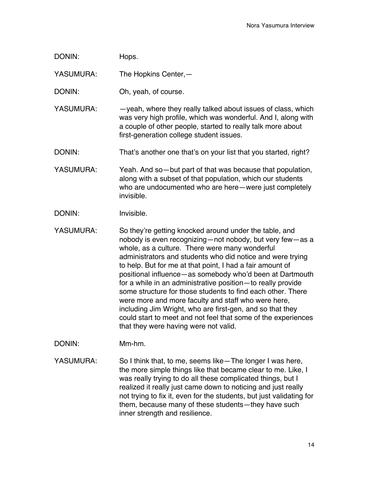| DONIN:           | Hops.                                                                                                                                                                                                                                                                                                                                                                                                                                                                                                                                                                                                         |
|------------------|---------------------------------------------------------------------------------------------------------------------------------------------------------------------------------------------------------------------------------------------------------------------------------------------------------------------------------------------------------------------------------------------------------------------------------------------------------------------------------------------------------------------------------------------------------------------------------------------------------------|
| YASUMURA:        | The Hopkins Center, -                                                                                                                                                                                                                                                                                                                                                                                                                                                                                                                                                                                         |
| DONIN:           | Oh, yeah, of course.                                                                                                                                                                                                                                                                                                                                                                                                                                                                                                                                                                                          |
| YASUMURA:        | -yeah, where they really talked about issues of class, which<br>was very high profile, which was wonderful. And I, along with<br>a couple of other people, started to really talk more about<br>first-generation college student issues.                                                                                                                                                                                                                                                                                                                                                                      |
| DONIN:           | That's another one that's on your list that you started, right?                                                                                                                                                                                                                                                                                                                                                                                                                                                                                                                                               |
| YASUMURA:        | Yeah. And so-but part of that was because that population,<br>along with a subset of that population, which our students<br>who are undocumented who are here-were just completely<br>invisible.                                                                                                                                                                                                                                                                                                                                                                                                              |
| DONIN:           | Invisible.                                                                                                                                                                                                                                                                                                                                                                                                                                                                                                                                                                                                    |
| <b>YASUMURA:</b> | So they're getting knocked around under the table, and<br>nobody is even recognizing-not nobody, but very few-as a<br>whole, as a culture. There were many wonderful<br>administrators and students who did notice and were trying<br>to help. But for me at that point, I had a fair amount of<br>positional influence-as somebody who'd been at Dartmouth<br>for a while in an administrative position-to really provide<br>some structure for those students to find each other. There<br>were more and more faculty and staff who were here,<br>including Jim Wright, who are first-gen, and so that they |

could start to meet and not feel that some of the experiences that they were having were not valid.

DONIN: Mm-hm.

YASUMURA: So I think that, to me, seems like—The longer I was here, the more simple things like that became clear to me. Like, I was really trying to do all these complicated things, but I realized it really just came down to noticing and just really not trying to fix it, even for the students, but just validating for them, because many of these students—they have such inner strength and resilience.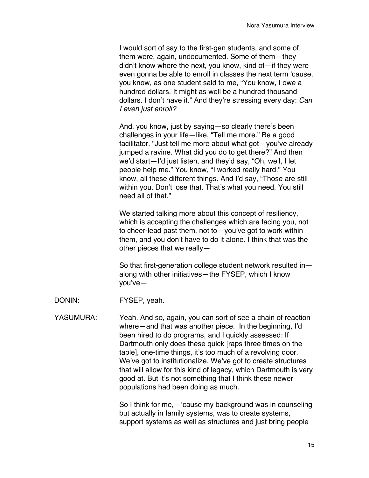I would sort of say to the first-gen students, and some of them were, again, undocumented. Some of them—they didn't know where the next, you know, kind of—if they were even gonna be able to enroll in classes the next term 'cause, you know, as one student said to me, "You know, I owe a hundred dollars. It might as well be a hundred thousand dollars. I don't have it." And they're stressing every day: *Can I even just enroll?*

And, you know, just by saying—so clearly there's been challenges in your life—like, "Tell me more." Be a good facilitator. "Just tell me more about what got—you've already jumped a ravine. What did you do to get there?" And then we'd start—I'd just listen, and they'd say, "Oh, well, I let people help me." You know, "I worked really hard." You know, all these different things. And I'd say, "Those are still within you. Don't lose that. That's what you need. You still need all of that."

We started talking more about this concept of resiliency, which is accepting the challenges which are facing you, not to cheer-lead past them, not to—you've got to work within them, and you don't have to do it alone. I think that was the other pieces that we really—

So that first-generation college student network resulted in along with other initiatives—the FYSEP, which I know you've—

- DONIN: FYSEP, yeah.
- YASUMURA: Yeah. And so, again, you can sort of see a chain of reaction where—and that was another piece. In the beginning, I'd been hired to do programs, and I quickly assessed: If Dartmouth only does these quick [raps three times on the table], one-time things, it's too much of a revolving door. We've got to institutionalize. We've got to create structures that will allow for this kind of legacy, which Dartmouth is very good at. But it's not something that I think these newer populations had been doing as much.

So I think for me,—'cause my background was in counseling but actually in family systems, was to create systems, support systems as well as structures and just bring people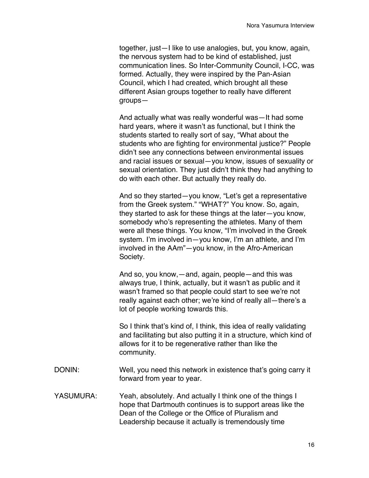together, just—I like to use analogies, but, you know, again, the nervous system had to be kind of established, just communication lines. So Inter-Community Council, I-CC, was formed. Actually, they were inspired by the Pan-Asian Council, which I had created, which brought all these different Asian groups together to really have different groups—

And actually what was really wonderful was—It had some hard years, where it wasn't as functional, but I think the students started to really sort of say, "What about the students who are fighting for environmental justice?" People didn't see any connections between environmental issues and racial issues or sexual—you know, issues of sexuality or sexual orientation. They just didn't think they had anything to do with each other. But actually they really do.

And so they started—you know, "Let's get a representative from the Greek system." "WHAT?" You know. So, again, they started to ask for these things at the later—you know, somebody who's representing the athletes. Many of them were all these things. You know, "I'm involved in the Greek system. I'm involved in—you know, I'm an athlete, and I'm involved in the AAm"—you know, in the Afro-American Society.

And so, you know,—and, again, people—and this was always true, I think, actually, but it wasn't as public and it wasn't framed so that people could start to see we're not really against each other; we're kind of really all—there's a lot of people working towards this.

So I think that's kind of, I think, this idea of really validating and facilitating but also putting it in a structure, which kind of allows for it to be regenerative rather than like the community.

- DONIN: Well, you need this network in existence that's going carry it forward from year to year.
- YASUMURA: Yeah, absolutely. And actually I think one of the things I hope that Dartmouth continues is to support areas like the Dean of the College or the Office of Pluralism and Leadership because it actually is tremendously time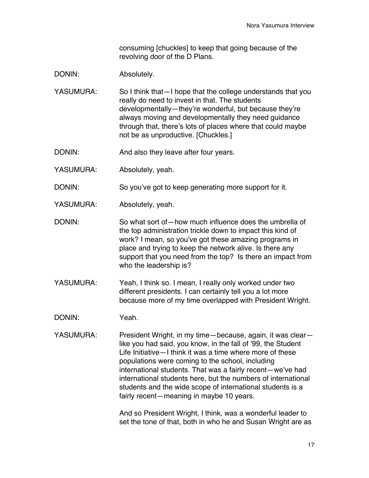consuming [chuckles] to keep that going because of the revolving door of the D Plans.

DONIN: Absolutely.

- YASUMURA: So I think that—I hope that the college understands that you really do need to invest in that. The students developmentally—they're wonderful, but because they're always moving and developmentally they need guidance through that, there's lots of places where that could maybe not be as unproductive. [Chuckles.]
- DONIN: And also they leave after four years.
- YASUMURA: Absolutely, yeah.

DONIN: So you've got to keep generating more support for it.

- YASUMURA: Absolutely, yeah.
- DONIN: So what sort of—how much influence does the umbrella of the top administration trickle down to impact this kind of work? I mean, so you've got these amazing programs in place and trying to keep the network alive. Is there any support that you need from the top? Is there an impact from who the leadership is?
- YASUMURA: Yeah, I think so. I mean, I really only worked under two different presidents. I can certainly tell you a lot more because more of my time overlapped with President Wright.
- DONIN: Yeah.
- YASUMURA: President Wright, in my time—because, again, it was clearlike you had said, you know, in the fall of '99, the Student Life Initiative—I think it was a time where more of these populations were coming to the school, including international students. That was a fairly recent—we've had international students here, but the numbers of international students and the wide scope of international students is a fairly recent—meaning in maybe 10 years.

And so President Wright, I think, was a wonderful leader to set the tone of that, both in who he and Susan Wright are as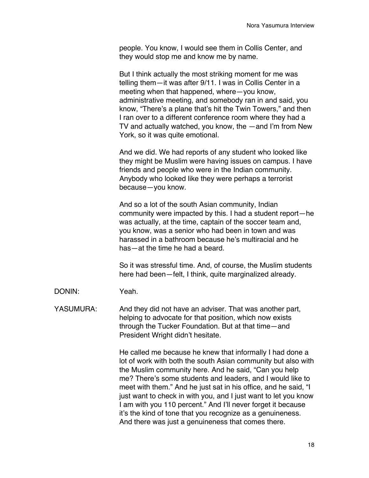people. You know, I would see them in Collis Center, and they would stop me and know me by name.

But I think actually the most striking moment for me was telling them—it was after 9/11. I was in Collis Center in a meeting when that happened, where—you know, administrative meeting, and somebody ran in and said, you know, "There's a plane that's hit the Twin Towers," and then I ran over to a different conference room where they had a TV and actually watched, you know, the —and I'm from New York, so it was quite emotional.

And we did. We had reports of any student who looked like they might be Muslim were having issues on campus. I have friends and people who were in the Indian community. Anybody who looked like they were perhaps a terrorist because—you know.

And so a lot of the south Asian community, Indian community were impacted by this. I had a student report—he was actually, at the time, captain of the soccer team and, you know, was a senior who had been in town and was harassed in a bathroom because he's multiracial and he has—at the time he had a beard.

So it was stressful time. And, of course, the Muslim students here had been—felt, I think, quite marginalized already.

DONIN: Yeah.

YASUMURA: And they did not have an adviser. That was another part, helping to advocate for that position, which now exists through the Tucker Foundation. But at that time—and President Wright didn't hesitate.

> He called me because he knew that informally I had done a lot of work with both the south Asian community but also with the Muslim community here. And he said, "Can you help me? There's some students and leaders, and I would like to meet with them." And he just sat in his office, and he said, "I just want to check in with you, and I just want to let you know I am with you 110 percent." And I'll never forget it because it's the kind of tone that you recognize as a genuineness. And there was just a genuineness that comes there.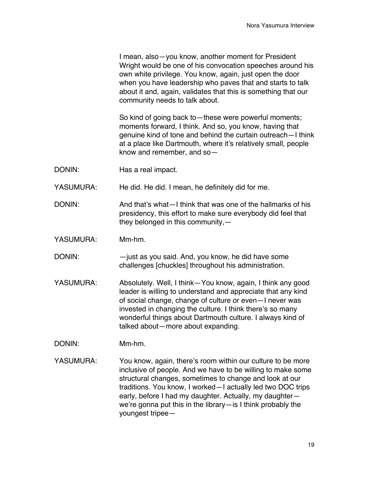I mean, also—you know, another moment for President Wright would be one of his convocation speeches around his own white privilege. You know, again, just open the door when you have leadership who paves that and starts to talk about it and, again, validates that this is something that our community needs to talk about.

So kind of going back to—these were powerful moments; moments forward, I think. And so, you know, having that genuine kind of tone and behind the curtain outreach—I think at a place like Dartmouth, where it's relatively small, people know and remember, and so—

DONIN: Has a real impact.

YASUMURA: He did. He did. I mean, he definitely did for me.

- DONIN: And that's what—I think that was one of the hallmarks of his presidency, this effort to make sure everybody did feel that they belonged in this community,—
- YASUMURA: Mm-hm.
- DONIN: —just as you said. And, you know, he did have some challenges [chuckles] throughout his administration.
- YASUMURA: Absolutely. Well, I think—You know, again, I think any good leader is willing to understand and appreciate that any kind of social change, change of culture or even—I never was invested in changing the culture. I think there's so many wonderful things about Dartmouth culture. I always kind of talked about—more about expanding.
- DONIN: Mm-hm.
- YASUMURA: You know, again, there's room within our culture to be more inclusive of people. And we have to be willing to make some structural changes, sometimes to change and look at our traditions. You know, I worked—I actually led two DOC trips early, before I had my daughter. Actually, my daughter we're gonna put this in the library—is I think probably the youngest tripee—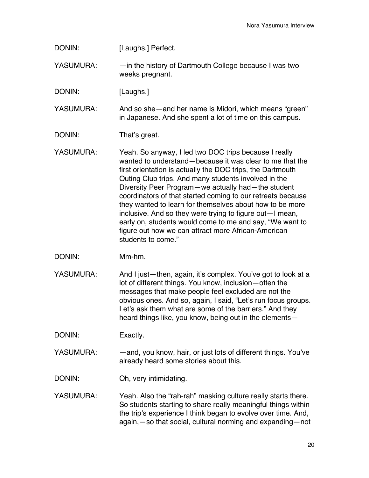DONIN: [Laughs.] Perfect.

YASUMURA:  $\longrightarrow$  —in the history of Dartmouth College because I was two weeks pregnant.

DONIN: [Laughs.]

YASUMURA: And so she—and her name is Midori, which means "green" in Japanese. And she spent a lot of time on this campus.

DONIN: That's great.

YASUMURA: Yeah. So anyway, I led two DOC trips because I really wanted to understand—because it was clear to me that the first orientation is actually the DOC trips, the Dartmouth Outing Club trips. And many students involved in the Diversity Peer Program—we actually had—the student coordinators of that started coming to our retreats because they wanted to learn for themselves about how to be more inclusive. And so they were trying to figure out—I mean, early on, students would come to me and say, "We want to figure out how we can attract more African-American students to come."

- DONIN: Mm-hm.
- YASUMURA: And I just—then, again, it's complex. You've got to look at a lot of different things. You know, inclusion—often the messages that make people feel excluded are not the obvious ones. And so, again, I said, "Let's run focus groups. Let's ask them what are some of the barriers." And they heard things like, you know, being out in the elements—

DONIN: Exactly.

YASUMURA: — —and, you know, hair, or just lots of different things. You've already heard some stories about this.

- DONIN: Oh, very intimidating.
- YASUMURA: Yeah. Also the "rah-rah" masking culture really starts there. So students starting to share really meaningful things within the trip's experience I think began to evolve over time. And, again,—so that social, cultural norming and expanding—not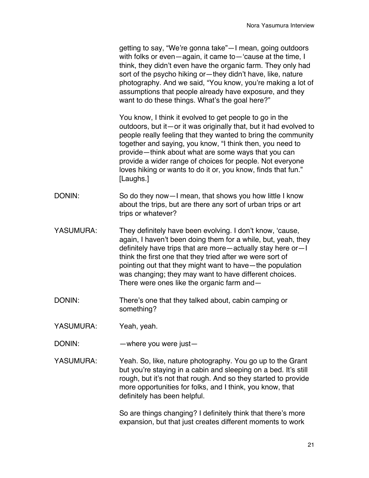getting to say, "We're gonna take"—I mean, going outdoors with folks or even—again, it came to—'cause at the time, I think, they didn't even have the organic farm. They only had sort of the psycho hiking or—they didn't have, like, nature photography. And we said, "You know, you're making a lot of assumptions that people already have exposure, and they want to do these things. What's the goal here?"

You know, I think it evolved to get people to go in the outdoors, but it—or it was originally that, but it had evolved to people really feeling that they wanted to bring the community together and saying, you know, "I think then, you need to provide—think about what are some ways that you can provide a wider range of choices for people. Not everyone loves hiking or wants to do it or, you know, finds that fun." [Laughs.]

- DONIN: So do they now I mean, that shows you how little I know about the trips, but are there any sort of urban trips or art trips or whatever?
- YASUMURA: They definitely have been evolving. I don't know, 'cause, again, I haven't been doing them for a while, but, yeah, they definitely have trips that are more—actually stay here or—I think the first one that they tried after we were sort of pointing out that they might want to have—the population was changing; they may want to have different choices. There were ones like the organic farm and—
- DONIN: There's one that they talked about, cabin camping or something?
- YASUMURA: Yeah, yeah.
- DONIN: — where you were just—
- YASUMURA: Yeah. So, like, nature photography. You go up to the Grant but you're staying in a cabin and sleeping on a bed. It's still rough, but it's not that rough. And so they started to provide more opportunities for folks, and I think, you know, that definitely has been helpful.

So are things changing? I definitely think that there's more expansion, but that just creates different moments to work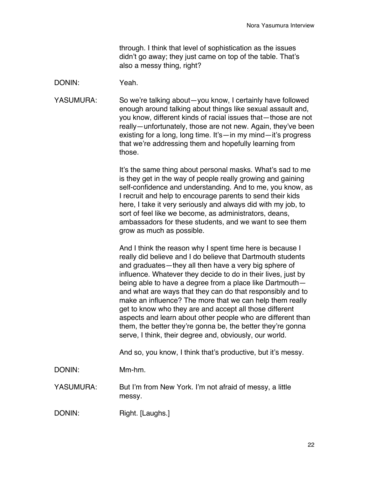through. I think that level of sophistication as the issues didn't go away; they just came on top of the table. That's also a messy thing, right?

DONIN: Yeah.

YASUMURA: So we're talking about—you know, I certainly have followed enough around talking about things like sexual assault and, you know, different kinds of racial issues that—those are not really—unfortunately, those are not new. Again, they've been existing for a long, long time. It's—in my mind—it's progress that we're addressing them and hopefully learning from those.

> It's the same thing about personal masks. What's sad to me is they get in the way of people really growing and gaining self-confidence and understanding. And to me, you know, as I recruit and help to encourage parents to send their kids here, I take it very seriously and always did with my job, to sort of feel like we become, as administrators, deans, ambassadors for these students, and we want to see them grow as much as possible.

And I think the reason why I spent time here is because I really did believe and I do believe that Dartmouth students and graduates—they all then have a very big sphere of influence. Whatever they decide to do in their lives, just by being able to have a degree from a place like Dartmouth and what are ways that they can do that responsibly and to make an influence? The more that we can help them really get to know who they are and accept all those different aspects and learn about other people who are different than them, the better they're gonna be, the better they're gonna serve, I think, their degree and, obviously, our world.

And so, you know, I think that's productive, but it's messy.

DONIN: Mm-hm.

YASUMURA: But I'm from New York. I'm not afraid of messy, a little messy.

DONIN: Right. [Laughs.]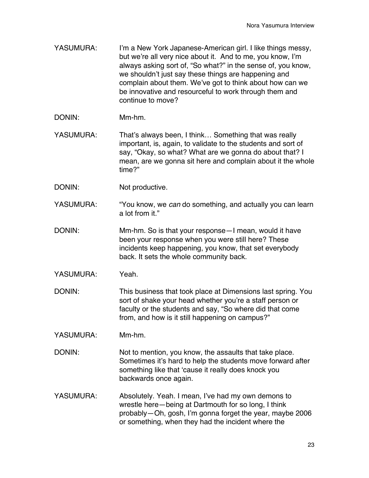- YASUMURA: I'm a New York Japanese-American girl. I like things messy, but we're all very nice about it. And to me, you know, I'm always asking sort of, "So what?" in the sense of, you know, we shouldn't just say these things are happening and complain about them. We've got to think about how can we be innovative and resourceful to work through them and continue to move?
- DONIN: Mm-hm.
- YASUMURA: That's always been, I think... Something that was really important, is, again, to validate to the students and sort of say, "Okay, so what? What are we gonna do about that? I mean, are we gonna sit here and complain about it the whole time?"
- DONIN: Not productive.
- YASUMURA: "You know, we *can* do something, and actually you can learn a lot from it."
- DONIN: Mm-hm. So is that your response—I mean, would it have been your response when you were still here? These incidents keep happening, you know, that set everybody back. It sets the whole community back.
- YASUMURA: Yeah.
- DONIN: This business that took place at Dimensions last spring. You sort of shake your head whether you're a staff person or faculty or the students and say, "So where did that come from, and how is it still happening on campus?"
- YASUMURA: Mm-hm.
- DONIN: Not to mention, you know, the assaults that take place. Sometimes it's hard to help the students move forward after something like that 'cause it really does knock you backwards once again.
- YASUMURA: Absolutely. Yeah. I mean, I've had my own demons to wrestle here—being at Dartmouth for so long, I think probably—Oh, gosh, I'm gonna forget the year, maybe 2006 or something, when they had the incident where the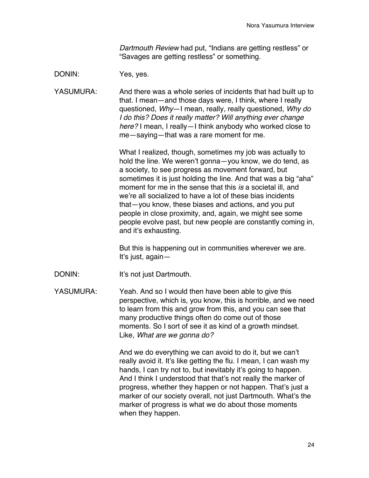*Dartmouth Review* had put, "Indians are getting restless" or "Savages are getting restless" or something.

DONIN: Yes, yes.

YASUMURA: And there was a whole series of incidents that had built up to that. I mean—and those days were, I think, where I really questioned, *Why*—I mean, really, really questioned, *Why do I do this? Does it really matter? Will anything ever change here?* I mean, I really—I think anybody who worked close to me—saying—that was a rare moment for me.

> What I realized, though, sometimes my job was actually to hold the line. We weren't gonna—you know, we do tend, as a society, to see progress as movement forward, but sometimes it is just holding the line. And that was a big "aha" moment for me in the sense that this *is* a societal ill, and we're all socialized to have a lot of these bias incidents that—you know, these biases and actions, and you put people in close proximity, and, again, we might see some people evolve past, but new people are constantly coming in, and it's exhausting.

But this is happening out in communities wherever we are. It's just, again—

DONIN: It's not just Dartmouth.

YASUMURA: Yeah. And so I would then have been able to give this perspective, which is, you know, this is horrible, and we need to learn from this and grow from this, and you can see that many productive things often do come out of those moments. So I sort of see it as kind of a growth mindset. Like, *What are we gonna do?*

> And we do everything we can avoid to do it, but we can't really avoid it. It's like getting the flu. I mean, I can wash my hands, I can try not to, but inevitably it's going to happen. And I think I understood that that's not really the marker of progress, whether they happen or not happen. That's just a marker of our society overall, not just Dartmouth. What's the marker of progress is what we do about those moments when they happen.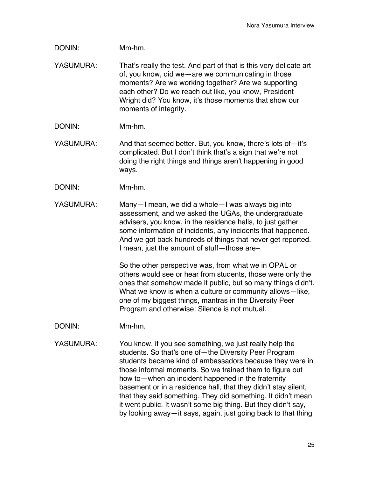DONIN: Mm-hm.

- YASUMURA: That's really the test. And part of that is this very delicate art of, you know, did we—are we communicating in those moments? Are we working together? Are we supporting each other? Do we reach out like, you know, President Wright did? You know, it's those moments that show our moments of integrity.
- DONIN: Mm-hm.
- YASUMURA: And that seemed better. But, you know, there's lots of-it's complicated. But I don't think that's a sign that we're not doing the right things and things aren't happening in good ways.
- DONIN: Mm-hm.
- YASUMURA: Many—I mean, we did a whole—I was always big into assessment, and we asked the UGAs, the undergraduate advisers, you know, in the residence halls, to just gather some information of incidents, any incidents that happened. And we got back hundreds of things that never get reported. I mean, just the amount of stuff—those are–

So the other perspective was, from what we in OPAL or others would see or hear from students, those were only the ones that somehow made it public, but so many things didn't. What we know is when a culture or community allows—like, one of my biggest things, mantras in the Diversity Peer Program and otherwise: Silence is not mutual.

- DONIN: Mm-hm.
- YASUMURA: You know, if you see something, we just really help the students. So that's one of—the Diversity Peer Program students became kind of ambassadors because they were in those informal moments. So we trained them to figure out how to—when an incident happened in the fraternity basement or in a residence hall, that they didn't stay silent, that they said something. They did something. It didn't mean it went public. It wasn't some big thing. But they didn't say, by looking away—it says, again, just going back to that thing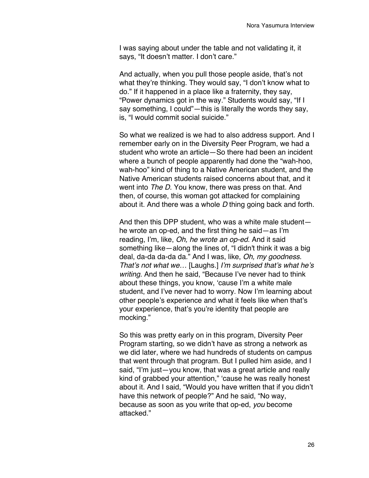I was saying about under the table and not validating it, it says, "It doesn't matter. I don't care."

And actually, when you pull those people aside, that's not what they're thinking. They would say, "I don't know what to do." If it happened in a place like a fraternity, they say, "Power dynamics got in the way." Students would say, "If I say something, I could"—this is literally the words they say, is, "I would commit social suicide."

So what we realized is we had to also address support. And I remember early on in the Diversity Peer Program, we had a student who wrote an article—So there had been an incident where a bunch of people apparently had done the "wah-hoo, wah-hoo" kind of thing to a Native American student, and the Native American students raised concerns about that, and it went into *The D*. You know, there was press on that. And then, of course, this woman got attacked for complaining about it. And there was a whole *D* thing going back and forth.

And then this DPP student, who was a white male student he wrote an op-ed, and the first thing he said—as I'm reading, I'm, like, *Oh, he wrote an op-ed*. And it said something like—along the lines of, "I didn't think it was a big deal, da-da da-da da." And I was, like, *Oh, my goodness. That's not what we…* [Laughs.] *I'm surprised that's what he's writing.* And then he said, "Because I've never had to think about these things, you know, 'cause I'm a white male student, and I've never had to worry. Now I'm learning about other people's experience and what it feels like when that's your experience, that's you're identity that people are mocking."

So this was pretty early on in this program, Diversity Peer Program starting, so we didn't have as strong a network as we did later, where we had hundreds of students on campus that went through that program. But I pulled him aside, and I said, "I'm just—you know, that was a great article and really kind of grabbed your attention," 'cause he was really honest about it. And I said, "Would you have written that if you didn't have this network of people?" And he said, "No way, because as soon as you write that op-ed, *you* become attacked."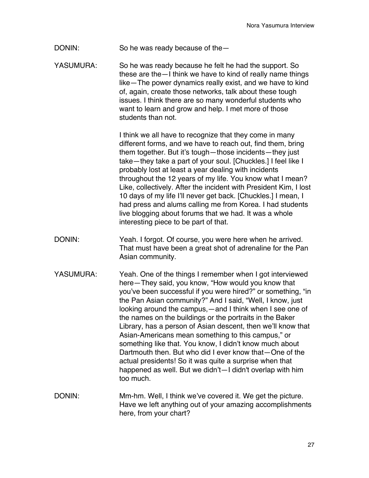DONIN: So he was ready because of the—

YASUMURA: So he was ready because he felt he had the support. So these are the—I think we have to kind of really name things like—The power dynamics really exist, and we have to kind of, again, create those networks, talk about these tough issues. I think there are so many wonderful students who want to learn and grow and help. I met more of those students than not.

> I think we all have to recognize that they come in many different forms, and we have to reach out, find them, bring them together. But it's tough—those incidents—they just take—they take a part of your soul. [Chuckles.] I feel like I probably lost at least a year dealing with incidents throughout the 12 years of my life. You know what I mean? Like, collectively. After the incident with President Kim, I lost 10 days of my life I'll never get back. [Chuckles.] I mean, I had press and alums calling me from Korea. I had students live blogging about forums that we had. It was a whole interesting piece to be part of that.

- DONIN: Yeah. I forgot. Of course, you were here when he arrived. That must have been a great shot of adrenaline for the Pan Asian community.
- YASUMURA: Yeah. One of the things I remember when I got interviewed here—They said, you know, "How would you know that you've been successful if you were hired?" or something, "in the Pan Asian community?" And I said, "Well, I know, just looking around the campus,—and I think when I see one of the names on the buildings or the portraits in the Baker Library, has a person of Asian descent, then we'll know that Asian-Americans mean something to this campus," or something like that. You know, I didn't know much about Dartmouth then. But who did I ever know that—One of the actual presidents! So it was quite a surprise when that happened as well. But we didn't—I didn't overlap with him too much.
- DONIN: Mm-hm. Well, I think we've covered it. We get the picture. Have we left anything out of your amazing accomplishments here, from your chart?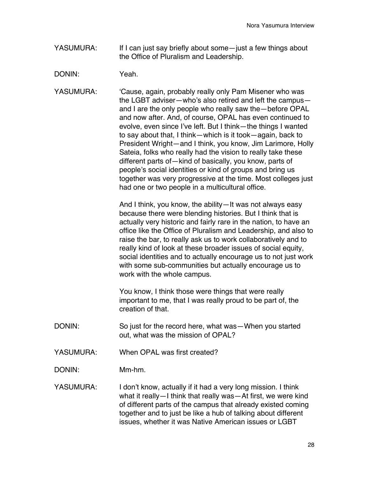- YASUMURA: If I can just say briefly about some—just a few things about the Office of Pluralism and Leadership.
- DONIN: Yeah.

YASUMURA: 'Cause, again, probably really only Pam Misener who was the LGBT adviser—who's also retired and left the campus and I are the only people who really saw the—before OPAL and now after. And, of course, OPAL has even continued to evolve, even since I've left. But I think—the things I wanted to say about that, I think—which is it took—again, back to President Wright—and I think, you know, Jim Larimore, Holly Sateia, folks who really had the vision to really take these different parts of—kind of basically, you know, parts of people's social identities or kind of groups and bring us together was very progressive at the time. Most colleges just had one or two people in a multicultural office.

> And I think, you know, the ability—It was not always easy because there were blending histories. But I think that is actually very historic and fairly rare in the nation, to have an office like the Office of Pluralism and Leadership, and also to raise the bar, to really ask us to work collaboratively and to really kind of look at these broader issues of social equity, social identities and to actually encourage us to not just work with some sub-communities but actually encourage us to work with the whole campus.

You know, I think those were things that were really important to me, that I was really proud to be part of, the creation of that.

- DONIN: So just for the record here, what was—When you started out, what was the mission of OPAL?
- YASUMURA: When OPAL was first created?

DONIN: Mm-hm.

YASUMURA: I don't know, actually if it had a very long mission. I think what it really—I think that really was—At first, we were kind of different parts of the campus that already existed coming together and to just be like a hub of talking about different issues, whether it was Native American issues or LGBT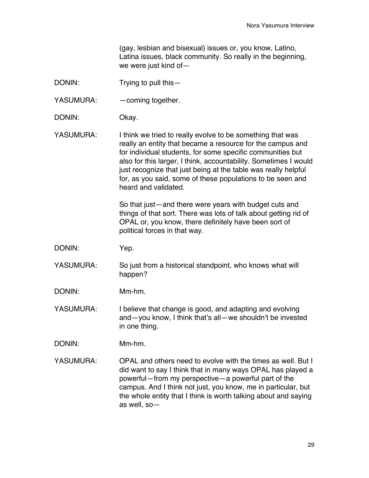(gay, lesbian and bisexual) issues or, you know, Latino, Latina issues, black community. So really in the beginning, we were just kind of—

- DONIN: Trying to pull this —
- YASUMURA: coming together.
- DONIN: Okay.
- YASUMURA: I think we tried to really evolve to be something that was really an entity that became a resource for the campus and for individual students, for some specific communities but also for this larger, I think, accountability. Sometimes I would just recognize that just being at the table was really helpful for, as you said, some of these populations to be seen and heard and validated.

So that just—and there were years with budget cuts and things of that sort. There was lots of talk about getting rid of OPAL or, you know, there definitely have been sort of political forces in that way.

- DONIN: Yep.
- YASUMURA: So just from a historical standpoint, who knows what will happen?
- DONIN: Mm-hm.

YASUMURA: I believe that change is good, and adapting and evolving and—you know, I think that's all—we shouldn't be invested in one thing.

- DONIN: Mm-hm.
- YASUMURA: OPAL and others need to evolve with the times as well. But I did want to say I think that in many ways OPAL has played a powerful—from my perspective—a powerful part of the campus. And I think not just, you know, me in particular, but the whole entity that I think is worth talking about and saying as well, so—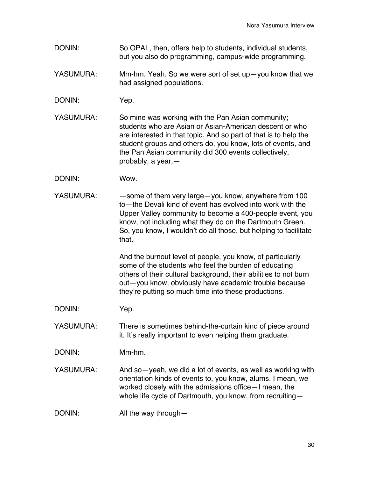- DONIN: So OPAL, then, offers help to students, individual students, but you also do programming, campus-wide programming.
- YASUMURA: Mm-hm. Yeah. So we were sort of set up—you know that we had assigned populations.
- DONIN: Yep.
- YASUMURA: So mine was working with the Pan Asian community; students who are Asian or Asian-American descent or who are interested in that topic. And so part of that is to help the student groups and others do, you know, lots of events, and the Pan Asian community did 300 events collectively, probably, a year,—
- DONIN: Wow.
- YASUMURA: — some of them very large—you know, anywhere from 100 to—the Devali kind of event has evolved into work with the Upper Valley community to become a 400-people event, you know, not including what they do on the Dartmouth Green. So, you know, I wouldn't do all those, but helping to facilitate that.

And the burnout level of people, you know, of particularly some of the students who feel the burden of educating others of their cultural background, their abilities to not burn out—you know, obviously have academic trouble because they're putting so much time into these productions.

DONIN: Yep.

YASUMURA: There is sometimes behind-the-curtain kind of piece around it. It's really important to even helping them graduate.

- DONIN: Mm-hm.
- YASUMURA: And so—yeah, we did a lot of events, as well as working with orientation kinds of events to, you know, alums. I mean, we worked closely with the admissions office—I mean, the whole life cycle of Dartmouth, you know, from recruiting—
- DONIN: All the way through—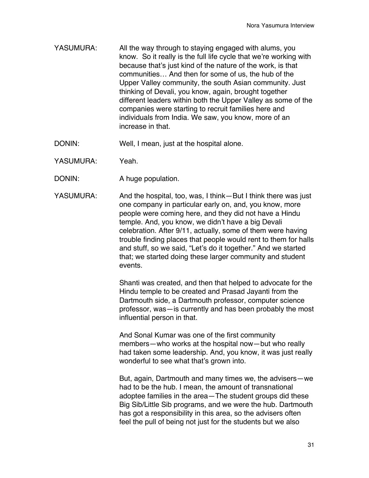- YASUMURA: All the way through to staying engaged with alums, you know. So it really is the full life cycle that we're working with because that's just kind of the nature of the work, is that communities… And then for some of us, the hub of the Upper Valley community, the south Asian community. Just thinking of Devali, you know, again, brought together different leaders within both the Upper Valley as some of the companies were starting to recruit families here and individuals from India. We saw, you know, more of an increase in that.
- DONIN: Well, I mean, just at the hospital alone.
- YASUMURA: Yeah
- DONIN: A huge population.
- YASUMURA: And the hospital, too, was, I think—But I think there was just one company in particular early on, and, you know, more people were coming here, and they did not have a Hindu temple. And, you know, we didn't have a big Devali celebration. After 9/11, actually, some of them were having trouble finding places that people would rent to them for halls and stuff, so we said, "Let's do it together." And we started that; we started doing these larger community and student events.

Shanti was created, and then that helped to advocate for the Hindu temple to be created and Prasad Jayanti from the Dartmouth side, a Dartmouth professor, computer science professor, was—is currently and has been probably the most influential person in that.

And Sonal Kumar was one of the first community members—who works at the hospital now—but who really had taken some leadership. And, you know, it was just really wonderful to see what that's grown into.

But, again, Dartmouth and many times we, the advisers—we had to be the hub. I mean, the amount of transnational adoptee families in the area—The student groups did these Big Sib/Little Sib programs, and we were the hub. Dartmouth has got a responsibility in this area, so the advisers often feel the pull of being not just for the students but we also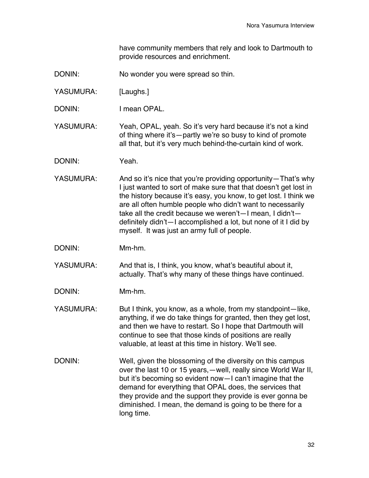have community members that rely and look to Dartmouth to provide resources and enrichment.

- DONIN: No wonder you were spread so thin.
- YASUMURA: [Laughs.]
- DONIN: I mean OPAL.

YASUMURA: Yeah, OPAL, yeah. So it's very hard because it's not a kind of thing where it's—partly we're so busy to kind of promote all that, but it's very much behind-the-curtain kind of work.

- DONIN: Yeah.
- YASUMURA: And so it's nice that you're providing opportunity—That's why I just wanted to sort of make sure that that doesn't get lost in the history because it's easy, you know, to get lost. I think we are all often humble people who didn't want to necessarily take all the credit because we weren't—I mean, I didn't definitely didn't—I accomplished a lot, but none of it I did by myself. It was just an army full of people.
- DONIN: Mm-hm.

YASUMURA: And that is, I think, you know, what's beautiful about it, actually. That's why many of these things have continued.

- DONIN: Mm-hm.
- YASUMURA: But I think, you know, as a whole, from my standpoint—like, anything, if we do take things for granted, then they get lost, and then we have to restart. So I hope that Dartmouth will continue to see that those kinds of positions are really valuable, at least at this time in history. We'll see.
- DONIN: Well, given the blossoming of the diversity on this campus over the last 10 or 15 years,—well, really since World War II, but it's becoming so evident now—I can't imagine that the demand for everything that OPAL does, the services that they provide and the support they provide is ever gonna be diminished. I mean, the demand is going to be there for a long time.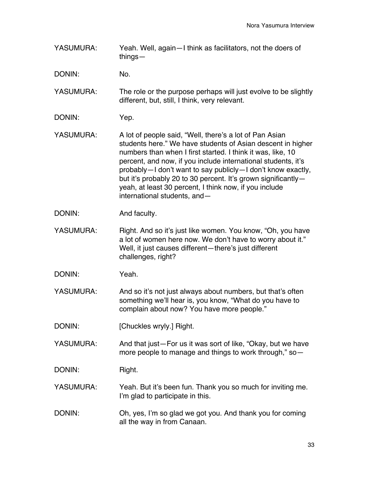YASUMURA: Yeah. Well, again—I think as facilitators, not the doers of things—

DONIN: No.

YASUMURA: The role or the purpose perhaps will just evolve to be slightly different, but, still, I think, very relevant.

- DONIN: Yep.
- YASUMURA: A lot of people said, "Well, there's a lot of Pan Asian students here." We have students of Asian descent in higher numbers than when I first started. I think it was, like, 10 percent, and now, if you include international students, it's probably—I don't want to say publicly—I don't know exactly, but it's probably 20 to 30 percent. It's grown significantlyyeah, at least 30 percent, I think now, if you include international students, and—
- DONIN: And faculty.
- YASUMURA: Right. And so it's just like women. You know, "Oh, you have a lot of women here now. We don't have to worry about it." Well, it just causes different—there's just different challenges, right?
- DONIN: Yeah.
- YASUMURA: And so it's not just always about numbers, but that's often something we'll hear is, you know, "What do you have to complain about now? You have more people."
- DONIN: [Chuckles wryly.] Right.
- YASUMURA: And that just—For us it was sort of like, "Okay, but we have more people to manage and things to work through," so—

DONIN: Right.

- YASUMURA: Yeah. But it's been fun. Thank you so much for inviting me. I'm glad to participate in this.
- DONIN: Oh, yes, I'm so glad we got you. And thank you for coming all the way in from Canaan.